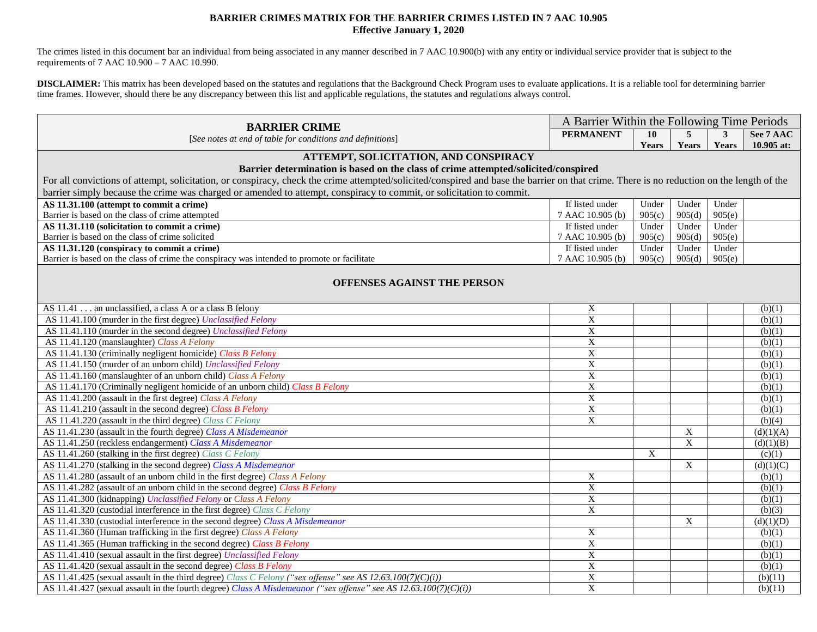## **BARRIER CRIMES MATRIX FOR THE BARRIER CRIMES LISTED IN 7 AAC 10.905 Effective January 1, 2020**

 The crimes listed in this document bar an individual from being associated in any manner described in 7 AAC 10.900(b) with any entity or individual service provider that is subject to the requirements of 7 AAC 10.900 – 7 AAC 10.990.

 **DISCLAIMER:** This matrix has been developed based on the statutes and regulations that the Background Check Program uses to evaluate applications. It is a reliable tool for determining barrier time frames. However, should there be any discrepancy between this list and applicable regulations, the statutes and regulations always control.

| <b>BARRIER CRIME</b>                                                                                                                                                                      |                  | A Barrier Within the Following Time Periods |                |        |            |  |  |
|-------------------------------------------------------------------------------------------------------------------------------------------------------------------------------------------|------------------|---------------------------------------------|----------------|--------|------------|--|--|
| [See notes at end of table for conditions and definitions]                                                                                                                                | <b>PERMANENT</b> | 10                                          | 5              | 3      | See 7 AAC  |  |  |
|                                                                                                                                                                                           |                  | Years                                       | Years          | Years  | 10.905 at: |  |  |
| ATTEMPT, SOLICITATION, AND CONSPIRACY                                                                                                                                                     |                  |                                             |                |        |            |  |  |
| Barrier determination is based on the class of crime attempted/solicited/conspired                                                                                                        |                  |                                             |                |        |            |  |  |
| For all convictions of attempt, solicitation, or conspiracy, check the crime attempted/solicited/conspired and base the barrier on that crime. There is no reduction on the length of the |                  |                                             |                |        |            |  |  |
| barrier simply because the crime was charged or amended to attempt, conspiracy to commit, or solicitation to commit.                                                                      |                  |                                             |                |        |            |  |  |
| AS 11.31.100 (attempt to commit a crime)                                                                                                                                                  | If listed under  | Under                                       | Under          | Under  |            |  |  |
| Barrier is based on the class of crime attempted                                                                                                                                          | 7 AAC 10.905 (b) | 905(c)                                      | 905(d)         | 905(e) |            |  |  |
| AS 11.31.110 (solicitation to commit a crime)                                                                                                                                             | If listed under  | Under                                       | Under          | Under  |            |  |  |
| Barrier is based on the class of crime solicited                                                                                                                                          | 7 AAC 10.905 (b) | 905(c)                                      | 905(d)         | 905(e) |            |  |  |
| AS 11.31.120 (conspiracy to commit a crime)                                                                                                                                               | If listed under  | Under                                       | Under          | Under  |            |  |  |
| Barrier is based on the class of crime the conspiracy was intended to promote or facilitate                                                                                               | 7 AAC 10.905 (b) | 905(c)                                      | 905(d)         | 905(e) |            |  |  |
| <b>OFFENSES AGAINST THE PERSON</b>                                                                                                                                                        |                  |                                             |                |        |            |  |  |
| AS 11.41 an unclassified, a class A or a class B felony                                                                                                                                   | $\mathbf X$      |                                             |                |        | (b)(1)     |  |  |
| AS 11.41.100 (murder in the first degree) Unclassified Felony                                                                                                                             | $\overline{X}$   |                                             |                |        | (b)(1)     |  |  |
| AS 11.41.110 (murder in the second degree) Unclassified Felony                                                                                                                            | X                |                                             |                |        | (b)(1)     |  |  |
| AS 11.41.120 (manslaughter) Class A Felony                                                                                                                                                | X                |                                             |                |        | (b)(1)     |  |  |
| AS 11.41.130 (criminally negligent homicide) Class B Felony                                                                                                                               | $\overline{X}$   |                                             |                |        | (b)(1)     |  |  |
| AS 11.41.150 (murder of an unborn child) Unclassified Felony                                                                                                                              | $\overline{X}$   |                                             |                |        | (b)(1)     |  |  |
| AS 11.41.160 (manslaughter of an unborn child) Class A Felony                                                                                                                             | $\mathbf X$      |                                             |                |        | (b)(1)     |  |  |
| AS 11.41.170 (Criminally negligent homicide of an unborn child) Class B Felony                                                                                                            | $\overline{X}$   |                                             |                |        | (b)(1)     |  |  |
| AS 11.41.200 (assault in the first degree) Class A Felony                                                                                                                                 | $\mathbf X$      |                                             |                |        | (b)(1)     |  |  |
| AS 11.41.210 (assault in the second degree) Class B Felony                                                                                                                                | $\mathbf X$      |                                             |                |        | (b)(1)     |  |  |
| AS 11.41.220 (assault in the third degree) Class C Felony                                                                                                                                 | $\mathbf X$      |                                             |                |        | (b)(4)     |  |  |
| AS 11.41.230 (assault in the fourth degree) Class A Misdemeanor                                                                                                                           |                  |                                             | $\mathbf X$    |        | (d)(1)(A)  |  |  |
| AS 11.41.250 (reckless endangerment) Class A Misdemeanor                                                                                                                                  |                  |                                             | $\overline{X}$ |        | (d)(1)(B)  |  |  |
| AS 11.41.260 (stalking in the first degree) Class C Felony                                                                                                                                |                  | X                                           |                |        | (c)(1)     |  |  |
| AS 11.41.270 (stalking in the second degree) Class A Misdemeanor                                                                                                                          |                  |                                             | $\overline{X}$ |        | (d)(1)(C)  |  |  |
| AS 11.41.280 (assault of an unborn child in the first degree) Class A Felony                                                                                                              | X                |                                             |                |        | (b)(1)     |  |  |
| AS 11.41.282 (assault of an unborn child in the second degree) Class B Felony                                                                                                             | $\overline{X}$   |                                             |                |        | (b)(1)     |  |  |
| AS 11.41.300 (kidnapping) Unclassified Felony or Class A Felony                                                                                                                           | $\overline{X}$   |                                             |                |        | (b)(1)     |  |  |
| AS 11.41.320 (custodial interference in the first degree) Class C Felony                                                                                                                  | X                |                                             |                |        | (b)(3)     |  |  |
| AS 11.41.330 (custodial interference in the second degree) Class A Misdemeanor                                                                                                            |                  |                                             | X              |        | (d)(1)(D)  |  |  |
| AS 11.41.360 (Human trafficking in the first degree) Class A Felony                                                                                                                       | X                |                                             |                |        | (b)(1)     |  |  |
| AS 11.41.365 (Human trafficking in the second degree) Class B Felony                                                                                                                      | X                |                                             |                |        | (b)(1)     |  |  |
| AS 11.41.410 (sexual assault in the first degree) Unclassified Felony                                                                                                                     | $\mathbf X$      |                                             |                |        | (b)(1)     |  |  |
| AS 11.41.420 (sexual assault in the second degree) Class B Felony                                                                                                                         | $\overline{X}$   |                                             |                |        | (b)(1)     |  |  |
| AS 11.41.425 (sexual assault in the third degree) Class C Felony ("sex offense" see AS 12.63.100(7)(C)(i))                                                                                | $\mathbf X$      |                                             |                |        | (b)(11)    |  |  |
| AS 11.41.427 (sexual assault in the fourth degree) Class A Misdemeanor ("sex offense" see AS 12.63.100(7)(C)(i))                                                                          | $\mathbf X$      |                                             |                |        | (b)(11)    |  |  |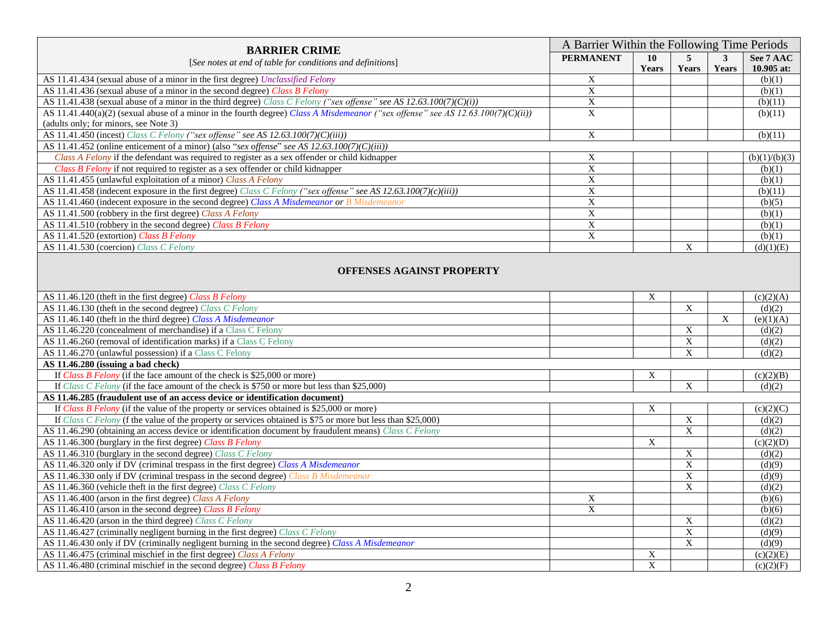| <b>BARRIER CRIME</b><br>[See notes at end of table for conditions and definitions]                                                                                        | A Barrier Within the Following Time Periods |                |                                             |              |                  |
|---------------------------------------------------------------------------------------------------------------------------------------------------------------------------|---------------------------------------------|----------------|---------------------------------------------|--------------|------------------|
|                                                                                                                                                                           | <b>PERMANENT</b>                            | 10             | $\overline{5}$                              | $\mathbf{3}$ | See 7 AAC        |
|                                                                                                                                                                           |                                             | Years          | Years                                       | Years        | 10.905 at:       |
| AS 11.41.434 (sexual abuse of a minor in the first degree) Unclassified Felony                                                                                            | $\mathbf X$                                 |                |                                             |              | (b)(1)           |
| AS 11.41.436 (sexual abuse of a minor in the second degree) Class B Felony                                                                                                | $\overline{X}$                              |                |                                             |              | (b)(1)           |
| AS 11.41.438 (sexual abuse of a minor in the third degree) Class C Felony ("sex offense" see AS 12.63.100(7)(C)(i))                                                       | $\mathbf X$                                 |                |                                             |              | (b)(11)          |
| AS 11.41.440(a)(2) (sexual abuse of a minor in the fourth degree) Class A Misdemeanor ("sex offense" see AS 12.63.100(7)(C)(ii))<br>(adults only; for minors, see Note 3) | $\mathbf X$                                 |                |                                             |              | (b)(11)          |
| AS 11.41.450 (incest) Class C Felony ("sex offense" see AS 12.63.100(7)(C)(iii))                                                                                          | $\overline{X}$                              |                |                                             |              | (b)(11)          |
| AS 11.41.452 (online enticement of a minor) (also "sex offense" see AS 12.63.100(7)(C)(iii))                                                                              |                                             |                |                                             |              |                  |
| Class A Felony if the defendant was required to register as a sex offender or child kidnapper                                                                             | $\overline{X}$                              |                |                                             |              | (b)(1)/(b)(3)    |
| Class B Felony if not required to register as a sex offender or child kidnapper                                                                                           | $\mathbf X$                                 |                |                                             |              | (b)(1)           |
| AS 11.41.455 (unlawful exploitation of a minor) Class A Felony                                                                                                            | $\overline{X}$                              |                |                                             |              | (b)(1)           |
| AS 11.41.458 (indecent exposure in the first degree) Class C Felony ("sex offense" see AS 12.63.100(7)(c)(iii))                                                           | $\overline{\mathbf{X}}$                     |                |                                             |              | (b)(11)          |
| AS 11.41.460 (indecent exposure in the second degree) Class A Misdemeanor or B Misdemeanor                                                                                | $\mathbf X$                                 |                |                                             |              | (b)(5)           |
| AS 11.41.500 (robbery in the first degree) Class A Felony                                                                                                                 | $\overline{X}$                              |                |                                             |              | (b)(1)           |
| AS 11.41.510 (robbery in the second degree) Class B Felony                                                                                                                | $\boldsymbol{\mathrm{X}}$                   |                |                                             |              | (b)(1)           |
| AS 11.41.520 (extortion) Class B Felony                                                                                                                                   | $\overline{X}$                              |                |                                             |              | (b)(1)           |
| AS 11.41.530 (coercion) Class C Felony                                                                                                                                    |                                             |                | $\boldsymbol{\mathrm{X}}$                   |              | (d)(1)(E)        |
| <b>OFFENSES AGAINST PROPERTY</b><br>AS 11.46.120 (theft in the first degree) Class B Felony                                                                               |                                             | X              |                                             |              | (c)(2)(A)        |
| AS 11.46.130 (theft in the second degree) Class C Felony                                                                                                                  |                                             |                | $\overline{X}$                              |              | (d)(2)           |
| AS 11.46.140 (theft in the third degree) Class A Misdemeanor                                                                                                              |                                             |                |                                             | $\mathbf X$  | (e)(1)(A)        |
| AS 11.46.220 (concealment of merchandise) if a Class C Felony                                                                                                             |                                             |                | $\mathbf X$                                 |              | (d)(2)           |
| AS 11.46.260 (removal of identification marks) if a Class C Felony                                                                                                        |                                             |                | $\overline{X}$                              |              | (d)(2)           |
| AS 11.46.270 (unlawful possession) if a Class C Felony                                                                                                                    |                                             |                | $\overline{X}$                              |              | (d)(2)           |
| AS 11.46.280 (issuing a bad check)                                                                                                                                        |                                             |                |                                             |              |                  |
| If Class B Felony (if the face amount of the check is $$25,000$ or more)                                                                                                  |                                             | X              |                                             |              | (c)(2)(B)        |
| If Class C Felony (if the face amount of the check is \$750 or more but less than \$25,000)                                                                               |                                             |                | $\overline{X}$                              |              | (d)(2)           |
| AS 11.46.285 (fraudulent use of an access device or identification document)                                                                                              |                                             |                |                                             |              |                  |
| If Class B Felony (if the value of the property or services obtained is \$25,000 or more)                                                                                 |                                             | X              |                                             |              | (c)(2)(C)        |
| If Class C Felony (f the value of the property or services obtained is \$75 or more but less than \$25,000)                                                               |                                             |                | $\overline{X}$                              |              | (d)(2)           |
| AS 11.46.290 (obtaining an access device or identification document by fraudulent means) Class C Felony                                                                   |                                             |                | $\overline{X}$                              |              | (d)(2)           |
| AS 11.46.300 (burglary in the first degree) Class B Felony                                                                                                                |                                             | $\mathbf X$    |                                             |              | (c)(2)(D)        |
| AS 11.46.310 (burglary in the second degree) Class C Felony                                                                                                               |                                             |                | $\boldsymbol{\mathrm{X}}$<br>$\overline{X}$ |              | (d)(2)           |
| AS 11.46.320 only if DV (criminal trespass in the first degree) Class A Misdemeanor                                                                                       |                                             |                | $\overline{X}$                              |              | (d)(9)<br>(d)(9) |
| AS 11.46.330 only if DV (criminal trespass in the second degree) Class B Misdemeanor<br>AS 11.46.360 (vehicle theft in the first degree) Class C Felony                   |                                             |                | $\overline{X}$                              |              | (d)(2)           |
| AS 11.46.400 (arson in the first degree) Class A Felony                                                                                                                   | X                                           |                |                                             |              | (b)(6)           |
| AS 11.46.410 (arson in the second degree) Class B Felony                                                                                                                  | $\mathbf X$                                 |                |                                             |              | (b)(6)           |
| AS 11.46.420 (arson in the third degree) Class C Felony                                                                                                                   |                                             |                | $\mathbf X$                                 |              | (d)(2)           |
| AS 11.46.427 (criminally negligent burning in the first degree) Class C Felony                                                                                            |                                             |                | $\overline{X}$                              |              | (d)(9)           |
| AS 11.46.430 only if DV (criminally negligent burning in the second degree) Class A Misdemeanor                                                                           |                                             |                | $\overline{X}$                              |              | (d)(9)           |
| AS 11.46.475 (criminal mischief in the first degree) Class A Felony                                                                                                       |                                             | $\mathbf X$    |                                             |              | (c)(2)(E)        |
| AS 11.46.480 (criminal mischief in the second degree) Class B Felony                                                                                                      |                                             | $\overline{X}$ |                                             |              | (c)(2)(F)        |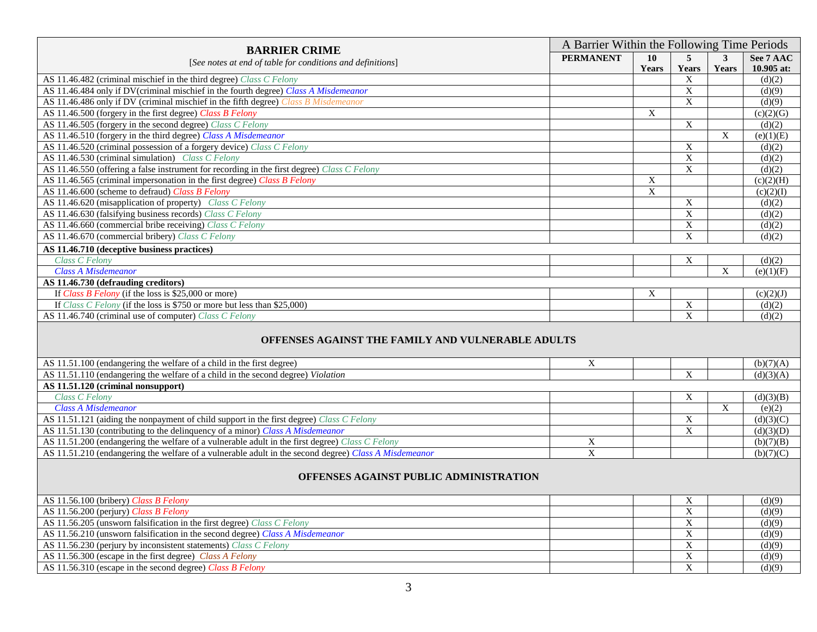|                                                                                                       |                  | A Barrier Within the Following Time Periods |                           |                |            |  |  |
|-------------------------------------------------------------------------------------------------------|------------------|---------------------------------------------|---------------------------|----------------|------------|--|--|
| <b>BARRIER CRIME</b>                                                                                  | <b>PERMANENT</b> | 10                                          | 5                         | $\mathbf{3}$   | See 7 AAC  |  |  |
| [See notes at end of table for conditions and definitions]                                            |                  | Years                                       | <b>Years</b>              | Years          | 10.905 at: |  |  |
| AS 11.46.482 (criminal mischief in the third degree) Class C Felony                                   |                  |                                             | X                         |                | (d)(2)     |  |  |
| AS 11.46.484 only if DV(criminal mischief in the fourth degree) Class A Misdemeanor                   |                  |                                             | $\overline{\textbf{X}}$   |                | (d)(9)     |  |  |
| AS 11.46.486 only if DV (criminal mischief in the fifth degree) Class B Misdemeanor                   |                  |                                             | $\overline{X}$            |                | (d)(9)     |  |  |
| AS 11.46.500 (forgery in the first degree) Class B Felony                                             |                  | $\mathbf X$                                 |                           |                | (c)(2)(G)  |  |  |
| AS 11.46.505 (forgery in the second degree) Class C Felony                                            |                  |                                             | $\overline{X}$            |                | (d)(2)     |  |  |
| AS 11.46.510 (forgery in the third degree) Class A Misdemeanor                                        |                  |                                             |                           | X              | (e)(1)(E)  |  |  |
| AS 11.46.520 (criminal possession of a forgery device) Class C Felony                                 |                  |                                             | $\boldsymbol{\mathrm{X}}$ |                | (d)(2)     |  |  |
| AS 11.46.530 (criminal simulation) Class C Felony                                                     |                  |                                             | $\overline{X}$            |                | (d)(2)     |  |  |
| AS 11.46.550 (offering a false instrument for recording in the first degree) Class C Felony           |                  |                                             | $\overline{\text{X}}$     |                | (d)(2)     |  |  |
| AS 11.46.565 (criminal impersonation in the first degree) Class B Felony                              |                  | X                                           |                           |                | (c)(2)(H)  |  |  |
| AS 11.46.600 (scheme to defraud) Class B Felony                                                       |                  | $\overline{X}$                              |                           |                | (c)(2)(I)  |  |  |
| AS 11.46.620 (misapplication of property) Class C Felony                                              |                  |                                             | $\mathbf X$               |                | (d)(2)     |  |  |
| AS 11.46.630 (falsifying business records) Class C Felony                                             |                  |                                             | $\mathbf X$               |                | (d)(2)     |  |  |
| AS 11.46.660 (commercial bribe receiving) Class C Felony                                              |                  |                                             | X                         |                | (d)(2)     |  |  |
| AS 11.46.670 (commercial bribery) Class C Felony                                                      |                  |                                             | $\mathbf X$               |                | (d)(2)     |  |  |
| AS 11.46.710 (deceptive business practices)                                                           |                  |                                             |                           |                |            |  |  |
| Class C Felony                                                                                        |                  |                                             | X                         |                | (d)(2)     |  |  |
| <b>Class A Misdemeanor</b>                                                                            |                  |                                             |                           | X              | (e)(1)(F)  |  |  |
| AS 11.46.730 (defrauding creditors)                                                                   |                  |                                             |                           |                |            |  |  |
| If Class B Felony (if the loss is \$25,000 or more)                                                   |                  | X                                           |                           |                | (c)(2)(J)  |  |  |
| If Class C Felony (if the loss is \$750 or more but less than \$25,000)                               |                  |                                             | $\mathbf X$               |                | (d)(2)     |  |  |
| AS 11.46.740 (criminal use of computer) Class C Felony                                                |                  |                                             | $\mathbf X$               |                | (d)(2)     |  |  |
| OFFENSES AGAINST THE FAMILY AND VULNERABLE ADULTS                                                     |                  |                                             |                           |                |            |  |  |
| AS 11.51.100 (endangering the welfare of a child in the first degree)                                 | X                |                                             |                           |                | (b)(7)(A)  |  |  |
| AS 11.51.110 (endangering the welfare of a child in the second degree) Violation                      |                  |                                             | X                         |                | (d)(3)(A)  |  |  |
| AS 11.51.120 (criminal nonsupport)<br><b>Class C Felony</b>                                           |                  |                                             |                           |                |            |  |  |
| <b>Class A Misdemeanor</b>                                                                            |                  |                                             | X                         | $\overline{X}$ | (d)(3)(B)  |  |  |
|                                                                                                       |                  |                                             |                           |                | (e)(2)     |  |  |
| AS 11.51.121 (aiding the nonpayment of child support in the first degree) Class C Felony              |                  |                                             | $\mathbf X$               |                | (d)(3)(C)  |  |  |
| AS 11.51.130 (contributing to the delinquency of a minor) Class A Misdemeanor                         |                  |                                             | $\mathbf X$               |                | (d)(3)(D)  |  |  |
| AS 11.51.200 (endangering the welfare of a vulnerable adult in the first degree) Class C Felony       | X                |                                             |                           |                | (b)(7)(B)  |  |  |
| AS 11.51.210 (endangering the welfare of a vulnerable adult in the second degree) Class A Misdemeanor | $\overline{X}$   |                                             |                           |                | (b)(7)(C)  |  |  |
| <b>OFFENSES AGAINST PUBLIC ADMINISTRATION</b>                                                         |                  |                                             |                           |                |            |  |  |
| AS 11.56.100 (bribery) Class B Felony                                                                 |                  |                                             | X                         |                | (d)(9)     |  |  |
| AS 11.56.200 (perjury) Class B Felony                                                                 |                  |                                             | $\overline{\mathbf{X}}$   |                | (d)(9)     |  |  |
| AS 11.56.205 (unsworn falsification in the first degree) Class C Felony                               |                  |                                             | $\mathbf X$               |                | (d)(9)     |  |  |
| AS 11.56.210 (unsworn falsification in the second degree) Class A Misdemeanor                         |                  |                                             | $\mathbf X$               |                | (d)(9)     |  |  |

AS 11.56.230 (perjury by inconsistent statements) *Class C Felony* (d)(9)  $X \mid X \mid (d)(9)$ AS 11.56.300 (escape in the first degree) *Class A Felony* (d)(9)  $X = \begin{bmatrix} X & 0 \\ 0 & 0 \end{bmatrix}$  (d)(9) AS 11.56.310 (escape in the second degree) *Class B Felony* (d)(9)  $X = \begin{bmatrix} X & | & | & | \\ 0 & 0 & | & | \end{bmatrix}$  (d)(9)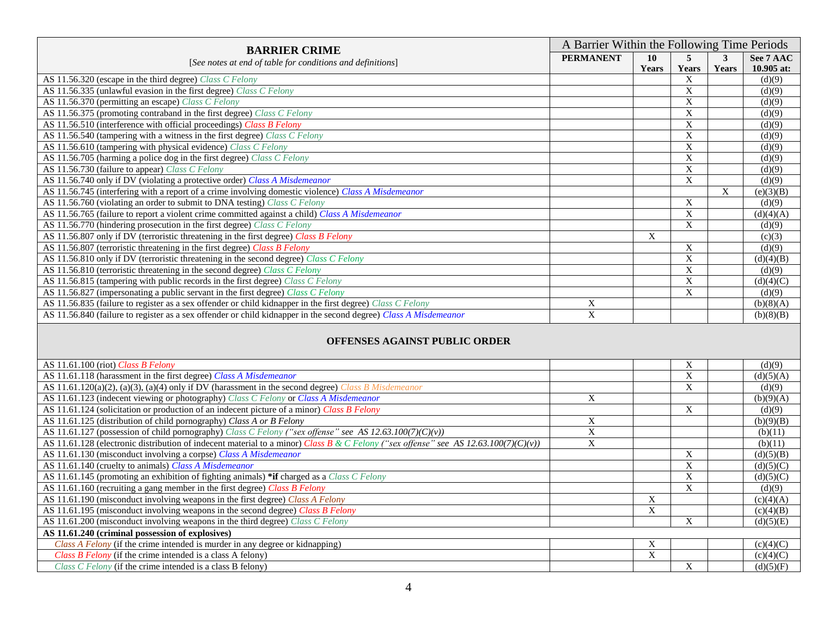| <b>BARRIER CRIME</b><br>[See notes at end of table for conditions and definitions]                               | A Barrier Within the Following Time Periods |       |       |              |            |
|------------------------------------------------------------------------------------------------------------------|---------------------------------------------|-------|-------|--------------|------------|
|                                                                                                                  | <b>PERMANENT</b>                            | 10    | 5.    | 3            | See 7 AAC  |
|                                                                                                                  |                                             | Years | Years | <b>Years</b> | 10.905 at: |
| AS 11.56.320 (escape in the third degree) Class C Felony                                                         |                                             |       | X     |              | (d)(9)     |
| AS 11.56.335 (unlawful evasion in the first degree) Class C Felony                                               |                                             |       | X     |              | (d)(9)     |
| AS 11.56.370 (permitting an escape) Class C Felony                                                               |                                             |       | X     |              | (d)(9)     |
| AS 11.56.375 (promoting contraband in the first degree) Class C Felony                                           |                                             |       | X     |              | (d)(9)     |
| AS 11.56.510 (interference with official proceedings) Class B Felony                                             |                                             |       | X     |              | (d)(9)     |
| AS 11.56.540 (tampering with a witness in the first degree) Class C Felony                                       |                                             |       | X     |              | (d)(9)     |
| AS 11.56.610 (tampering with physical evidence) Class C Felony                                                   |                                             |       | X     |              | (d)(9)     |
| AS 11.56.705 (harming a police dog in the first degree) Class C Felony                                           |                                             |       | X     |              | (d)(9)     |
| AS 11.56.730 (failure to appear) Class C Felony                                                                  |                                             |       | X     |              | (d)(9)     |
| AS 11.56.740 only if DV (violating a protective order) Class A Misdemeanor                                       |                                             |       | X     |              | (d)(9)     |
| AS 11.56.745 (interfering with a report of a crime involving domestic violence) Class A Misdemeanor              |                                             |       |       | X            | (e)(3)(B)  |
| AS 11.56.760 (violating an order to submit to DNA testing) Class C Felony                                        |                                             |       | X     |              | (d)(9)     |
| AS 11.56.765 (failure to report a violent crime committed against a child) Class A Misdemeanor                   |                                             |       | X     |              | (d)(4)(A)  |
| AS 11.56.770 (hindering prosecution in the first degree) Class C Felony                                          |                                             |       | X     |              | (d)(9)     |
| AS 11.56.807 only if DV (terroristic threatening in the first degree) Class B Felony                             |                                             | X     |       |              | (c)(3)     |
| AS 11.56.807 (terroristic threatening in the first degree) Class B Felony                                        |                                             |       | X     |              | (d)(9)     |
| AS 11.56.810 only if DV (terroristic threatening in the second degree) Class C Felony                            |                                             |       | X     |              | (d)(4)(B)  |
| AS 11.56.810 (terroristic threatening in the second degree) Class C Felony                                       |                                             |       | X     |              | (d)(9)     |
| AS 11.56.815 (tampering with public records in the first degree) Class C Felony                                  |                                             |       | X     |              | (d)(4)(C)  |
| AS 11.56.827 (impersonating a public servant in the first degree) Class C Felony                                 |                                             |       | X     |              | (d)(9)     |
| AS 11.56.835 (failure to register as a sex offender or child kidnapper in the first degree) Class C Felony       | X                                           |       |       |              | (b)(8)(A)  |
| AS 11.56.840 (failure to register as a sex offender or child kidnapper in the second degree) Class A Misdemeanor | X                                           |       |       |              | (b)(8)(B)  |

## **OFFENSES AGAINST PUBLIC ORDER**

| AS 11.61.100 (riot) Class B Felony                                                                                                  |   |        | Χ | (d)(9)    |
|-------------------------------------------------------------------------------------------------------------------------------------|---|--------|---|-----------|
| AS 11.61.118 (harassment in the first degree) Class A Misdemeanor                                                                   |   |        | X | (d)(5)(A) |
| AS $11.61.120(a)(2)$ , (a)(3), (a)(4) only if DV (harassment in the second degree) Class B Misdemeanor                              |   |        | X | (d)(9)    |
| AS 11.61.123 (indecent viewing or photography) Class C Felony or Class A Misdemeanor                                                | X |        |   | (b)(9)(A) |
| AS 11.61.124 (solicitation or production of an indecent picture of a minor) Class B Felony                                          |   |        | X | (d)(9)    |
| AS 11.61.125 (distribution of child pornography) Class A or B Felony                                                                | X |        |   | (b)(9)(B) |
| AS 11.61.127 (possession of child pornography) Class C Felony ("sex offense" see AS 12.63.100(7)(C)(v))                             | X |        |   | (b)(11)   |
| AS 11.61.128 (electronic distribution of indecent material to a minor) Class B & C Felony ("sex offense" see AS 12.63.100(7)(C)(v)) | X |        |   | (b)(11)   |
| AS 11.61.130 (misconduct involving a corpse) Class A Misdemeanor                                                                    |   |        | X | (d)(5)(B) |
| AS 11.61.140 (cruelty to animals) Class A Misdemeanor                                                                               |   |        | X | (d)(5)(C) |
| AS 11.61.145 (promoting an exhibition of fighting animals) *if charged as a Class C Felony                                          |   |        | X | (d)(5)(C) |
| AS 11.61.160 (recruiting a gang member in the first degree) Class B Felony                                                          |   |        | X | (d)(9)    |
| AS 11.61.190 (misconduct involving weapons in the first degree) Class A Felony                                                      |   | X      |   | (c)(4)(A) |
| AS 11.61.195 (misconduct involving weapons in the second degree) Class B Felony                                                     |   | v<br>л |   | (c)(4)(B) |
| AS 11.61.200 (misconduct involving weapons in the third degree) Class C Felony                                                      |   |        | X | (d)(5)(E) |
| AS 11.61.240 (criminal possession of explosives)                                                                                    |   |        |   |           |
| Class A Felony (if the crime intended is murder in any degree or kidnapping)                                                        |   | X      |   | (c)(4)(C) |
| Class B Felony (if the crime intended is a class A felony)                                                                          |   | X      |   | (c)(4)(C) |
| Class C Felony (if the crime intended is a class B felony)                                                                          |   |        | X | (d)(5)(F) |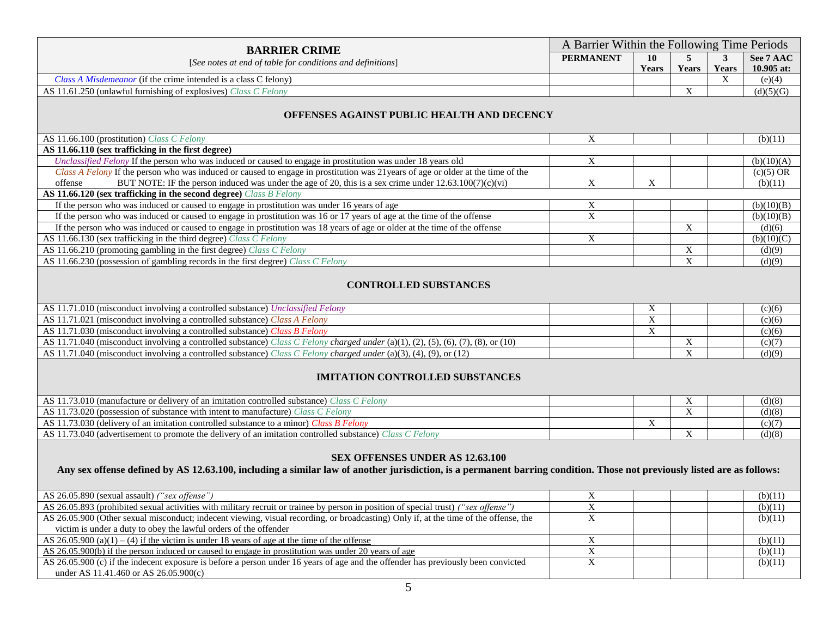| <b>BARRIER CRIME</b>                                                                                                                                                                                                                                                                                |                           | A Barrier Within the Following Time Periods |                |              |             |  |  |
|-----------------------------------------------------------------------------------------------------------------------------------------------------------------------------------------------------------------------------------------------------------------------------------------------------|---------------------------|---------------------------------------------|----------------|--------------|-------------|--|--|
| [See notes at end of table for conditions and definitions]                                                                                                                                                                                                                                          | <b>PERMANENT</b>          | 10                                          | 5              | $\mathbf{3}$ | See 7 AAC   |  |  |
|                                                                                                                                                                                                                                                                                                     |                           | Years                                       | Years          | Years        | 10.905 at:  |  |  |
| Class A Misdemeanor (if the crime intended is a class C felony)                                                                                                                                                                                                                                     |                           |                                             |                | $\mathbf X$  | (e)(4)      |  |  |
| AS 11.61.250 (unlawful furnishing of explosives) Class C Felony                                                                                                                                                                                                                                     |                           |                                             | $\mathbf X$    |              | (d)(5)(G)   |  |  |
| OFFENSES AGAINST PUBLIC HEALTH AND DECENCY                                                                                                                                                                                                                                                          |                           |                                             |                |              |             |  |  |
| AS 11.66.100 (prostitution) Class C Felony                                                                                                                                                                                                                                                          | X                         |                                             |                |              | (b)(11)     |  |  |
| AS 11.66.110 (sex trafficking in the first degree)                                                                                                                                                                                                                                                  |                           |                                             |                |              |             |  |  |
| Unclassified Felony If the person who was induced or caused to engage in prostitution was under 18 years old                                                                                                                                                                                        | X                         |                                             |                |              | (b)(10)(A)  |  |  |
| Class A Felony If the person who was induced or caused to engage in prostitution was 21 years of age or older at the time of the                                                                                                                                                                    |                           |                                             |                |              | $(c)(5)$ OR |  |  |
| BUT NOTE: IF the person induced was under the age of 20, this is a sex crime under $12.63.100(7)(c)(vi)$<br>offense                                                                                                                                                                                 | $\mathbf X$               | $\mathbf X$                                 |                |              | (b)(11)     |  |  |
| AS 11.66.120 (sex trafficking in the second degree) Class B Felony                                                                                                                                                                                                                                  |                           |                                             |                |              |             |  |  |
| If the person who was induced or caused to engage in prostitution was under 16 years of age                                                                                                                                                                                                         | X                         |                                             |                |              | (b)(10)(B)  |  |  |
| If the person who was induced or caused to engage in prostitution was 16 or 17 years of age at the time of the offense                                                                                                                                                                              | X                         |                                             |                |              | (b)(10)(B)  |  |  |
| If the person who was induced or caused to engage in prostitution was 18 years of age or older at the time of the offense                                                                                                                                                                           |                           |                                             | $\mathbf X$    |              | (d)(6)      |  |  |
| AS 11.66.130 (sex trafficking in the third degree) Class C Felony                                                                                                                                                                                                                                   | $\boldsymbol{\mathrm{X}}$ |                                             |                |              | (b)(10)(C)  |  |  |
| AS 11.66.210 (promoting gambling in the first degree) Class C Felony                                                                                                                                                                                                                                |                           |                                             | $\overline{X}$ |              | (d)(9)      |  |  |
| AS 11.66.230 (possession of gambling records in the first degree) Class C Felony                                                                                                                                                                                                                    |                           |                                             | $\mathbf X$    |              | (d)(9)      |  |  |
| <b>CONTROLLED SUBSTANCES</b>                                                                                                                                                                                                                                                                        |                           |                                             |                |              |             |  |  |
| AS 11.71.010 (misconduct involving a controlled substance) Unclassified Felony                                                                                                                                                                                                                      |                           | X                                           |                |              | (c)(6)      |  |  |
| AS 11.71.021 (misconduct involving a controlled substance) Class A Felony                                                                                                                                                                                                                           |                           | $\mathbf X$                                 |                |              | (c)(6)      |  |  |
| AS 11.71.030 (misconduct involving a controlled substance) Class B Felony                                                                                                                                                                                                                           |                           | $\overline{X}$                              |                |              | (c)(6)      |  |  |
| AS 11.71.040 (misconduct involving a controlled substance) Class C Felony charged under (a)(1), (2), (5), (6), (7), (8), or (10)                                                                                                                                                                    |                           |                                             | $\mathbf X$    |              | (c)(7)      |  |  |
| AS 11.71.040 (misconduct involving a controlled substance) Class C Felony charged under (a)(3), (4), (9), or (12)                                                                                                                                                                                   |                           |                                             | $\mathbf X$    |              | (d)(9)      |  |  |
| <b>IMITATION CONTROLLED SUBSTANCES</b>                                                                                                                                                                                                                                                              |                           |                                             |                |              |             |  |  |
| AS 11.73.010 (manufacture or delivery of an imitation controlled substance) Class C Felony                                                                                                                                                                                                          |                           |                                             | X              |              | (d)(8)      |  |  |
| AS 11.73.020 (possession of substance with intent to manufacture) Class C Felony                                                                                                                                                                                                                    |                           |                                             | $\overline{X}$ |              | (d)(8)      |  |  |
| AS 11.73.030 (delivery of an imitation controlled substance to a minor) Class B Felony                                                                                                                                                                                                              |                           | X                                           |                |              | (c)(7)      |  |  |
| AS 11.73.040 (advertisement to promote the delivery of an imitation controlled substance) Class C Felony                                                                                                                                                                                            |                           |                                             | $\mathbf X$    |              | (d)(8)      |  |  |
| SEX OFFENSES UNDER AS 12.63.100<br>Any sex offense defined by AS 12.63.100, including a similar law of another jurisdiction, is a permanent barring condition. Those not previously listed are as follows:<br>AS 26.05.890 (sexual assault) ("sex offense")<br>$\boldsymbol{\mathrm{X}}$<br>(b)(11) |                           |                                             |                |              |             |  |  |
| AS 26.05.893 (prohibited sexual activities with military recruit or trainee by person in position of special trust) ("sex offense")                                                                                                                                                                 | X                         |                                             |                |              | (b)(11)     |  |  |
| AS 26.05.900 (Other sexual misconduct; indecent viewing, visual recording, or broadcasting) Only if, at the time of the offense, the                                                                                                                                                                | $\mathbf X$               |                                             |                |              | (b)(11)     |  |  |

 victim is under a duty to obey the lawful orders of the offender  $\overline{\phantom{a}}$  $\overline{\phantom{a}}$  $\ddot{\phantom{0}}$ AS  $26.05.900$  (a)(1) – (4) if the victim is under 18 years of age at the time of the offense  $X$  (b)(11) AS 26.05.900(b) if the person induced or caused to engage in prostitution was under 20 years of age X (b)(11) AS 26.05.900 (c) if the indecent exposure is before a person under 16 years of age and the offender has previously been convicted (b)(11)  $X$  (b)(11) under AS 11.41.460 or AS 26.05.900(c)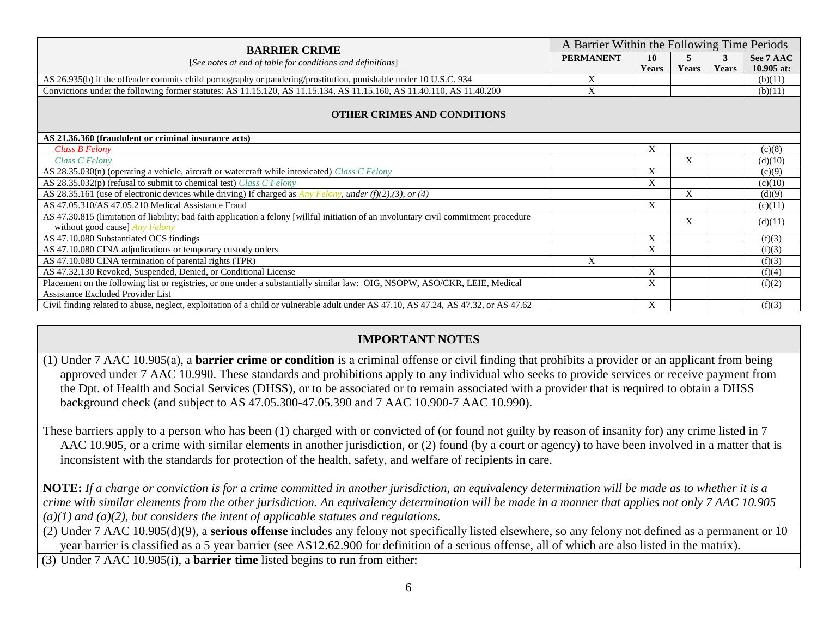| <b>BARRIER CRIME</b><br>[See notes at end of table for conditions and definitions]                                                     | A Barrier Within the Following Time Periods |       |       |       |            |  |  |
|----------------------------------------------------------------------------------------------------------------------------------------|---------------------------------------------|-------|-------|-------|------------|--|--|
|                                                                                                                                        | <b>PERMANENT</b>                            | 10    | 5     | 3     | See 7 AAC  |  |  |
|                                                                                                                                        |                                             | Years | Years | Years | 10.905 at: |  |  |
| AS 26.935(b) if the offender commits child pornography or pandering/prostitution, punishable under 10 U.S.C. 934                       | X                                           |       |       |       | (b)(11)    |  |  |
| Convictions under the following former statutes: AS 11.15.120, AS 11.15.134, AS 11.15.160, AS 11.40.110, AS 11.40.200                  | X                                           |       |       |       | (b)(11)    |  |  |
| <b>OTHER CRIMES AND CONDITIONS</b>                                                                                                     |                                             |       |       |       |            |  |  |
| AS 21.36.360 (fraudulent or criminal insurance acts)                                                                                   |                                             |       |       |       |            |  |  |
| Class B Felony                                                                                                                         |                                             | X     |       |       | (c)(8)     |  |  |
| Class C Felony                                                                                                                         |                                             |       | X     |       | (d)(10)    |  |  |
| AS 28.35.030(n) (operating a vehicle, aircraft or watercraft while intoxicated) Class C Felony                                         |                                             | X     |       |       | (c)(9)     |  |  |
| AS 28.35.032(p) (refusal to submit to chemical test) Class C Felony                                                                    |                                             | X     |       |       | (c)(10)    |  |  |
| AS 28.35.161 (use of electronic devices while driving) If charged as <i>Any Felony, under (f)(2),(3), or (4)</i>                       |                                             |       | X     |       | (d)(9)     |  |  |
| AS 47.05.310/AS 47.05.210 Medical Assistance Fraud                                                                                     |                                             | X     |       |       | (c)(11)    |  |  |
| AS 47.30.815 (limitation of liability; bad faith application a felony [willful initiation of an involuntary civil commitment procedure |                                             |       | X     |       |            |  |  |
| without good cause] Any Felony                                                                                                         |                                             |       |       |       | (d)(11)    |  |  |
| AS 47.10.080 Substantiated OCS findings                                                                                                |                                             | X     |       |       | (f)(3)     |  |  |
| AS 47.10.080 CINA adjudications or temporary custody orders                                                                            |                                             | X     |       |       | (f)(3)     |  |  |
| AS 47.10.080 CINA termination of parental rights (TPR)                                                                                 | X                                           |       |       |       | (f)(3)     |  |  |
| AS 47.32.130 Revoked, Suspended, Denied, or Conditional License                                                                        |                                             | X     |       |       | (f)(4)     |  |  |
| Placement on the following list or registries, or one under a substantially similar law: OIG, NSOPW, ASO/CKR, LEIE, Medical            |                                             | X     |       |       | (f)(2)     |  |  |
| Assistance Excluded Provider List                                                                                                      |                                             |       |       |       |            |  |  |
| Civil finding related to abuse, neglect, exploitation of a child or vulnerable adult under AS 47.10, AS 47.24, AS 47.32, or AS 47.62   |                                             | X     |       |       | (f)(3)     |  |  |

## **IMPORTANT NOTES**

(1) Under 7 AAC 10.905(a), a **barrier crime or condition** is a criminal offense or civil finding that prohibits a provider or an applicant from being approved under 7 AAC 10.990. These standards and prohibitions apply to any individual who seeks to provide services or receive payment from the Dpt. of Health and Social Services (DHSS), or to be associated or to remain associated with a provider that is required to obtain a DHSS background check (and subject to AS 47.05.300-47.05.390 and 7 AAC 10.900-7 AAC 10.990).

 AAC 10.905, or a crime with similar elements in another jurisdiction, or (2) found (by a court or agency) to have been involved in a matter that is These barriers apply to a person who has been (1) charged with or convicted of (or found not guilty by reason of insanity for) any crime listed in 7 inconsistent with the standards for protection of the health, safety, and welfare of recipients in care.

**NOTE:** *If a charge or conviction is for a crime committed in another jurisdiction, an equivalency determination will be made as to whether it is a crime with similar elements from the other jurisdiction. An equivalency determination will be made in a manner that applies not only 7 AAC 10.905 (a)(1) and (a)(2), but considers the intent of applicable statutes and regulations.* 

(2) Under 7 AAC 10.905(d)(9), a **serious offense** includes any felony not specifically listed elsewhere, so any felony not defined as a permanent or 10 year barrier is classified as a 5 year barrier (see AS12.62.900 for definition of a serious offense, all of which are also listed in the matrix).

 (3) Under 7 AAC 10.905(i), a **barrier time** listed begins to run from either: